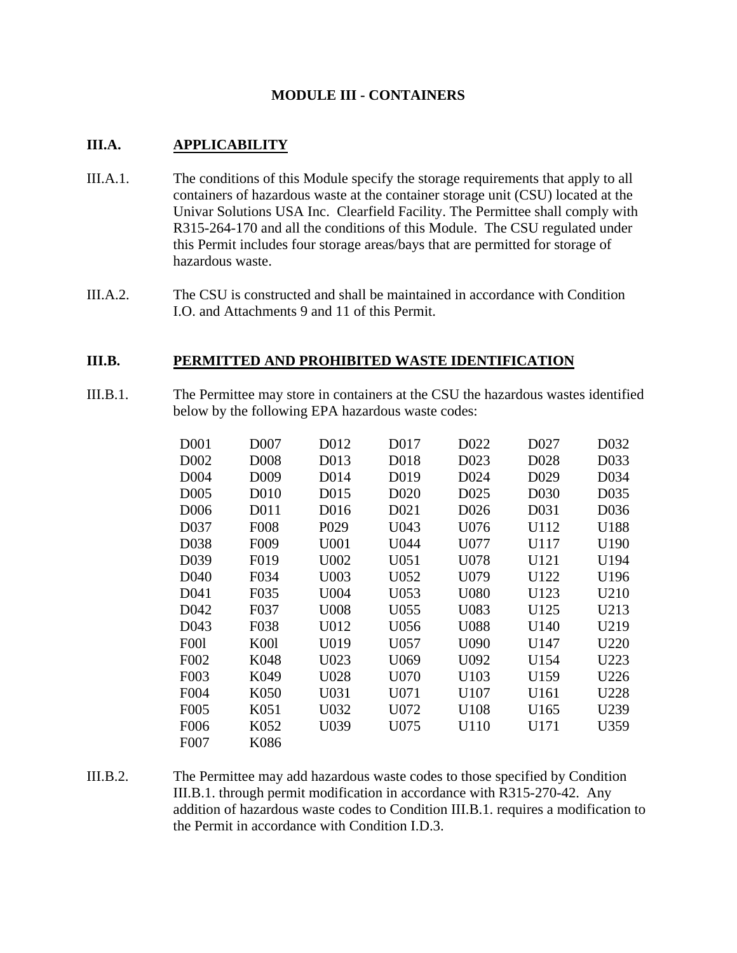# **MODULE III - CONTAINERS**

## **III.A. APPLICABILITY**

- III.A.1. The conditions of this Module specify the storage requirements that apply to all containers of hazardous waste at the container storage unit (CSU) located at the Univar Solutions USA Inc. Clearfield Facility. The Permittee shall comply with R315-264-170 and all the conditions of this Module. The CSU regulated under this Permit includes four storage areas/bays that are permitted for storage of hazardous waste.
- III.A.2. The CSU is constructed and shall be maintained in accordance with Condition I.O. and Attachments 9 and 11 of this Permit.

## **III.B. PERMITTED AND PROHIBITED WASTE IDENTIFICATION**

III.B.1. The Permittee may store in containers at the CSU the hazardous wastes identified below by the following EPA hazardous waste codes:

| D <sub>001</sub>  | D <sub>007</sub>  | D012              | D017              | D <sub>022</sub> | D <sub>027</sub>  | D032 |
|-------------------|-------------------|-------------------|-------------------|------------------|-------------------|------|
| D <sub>0</sub> 02 | D <sub>008</sub>  | D <sub>013</sub>  | D <sub>018</sub>  | D <sub>023</sub> | D <sub>028</sub>  | D033 |
| D <sub>004</sub>  | D <sub>009</sub>  | D <sub>0</sub> 14 | D <sub>0</sub> 19 | D <sub>024</sub> | D <sub>029</sub>  | D034 |
| D <sub>005</sub>  | D <sub>010</sub>  | D <sub>015</sub>  | D <sub>0</sub> 20 | D <sub>025</sub> | D <sub>0</sub> 30 | D035 |
| D <sub>006</sub>  | D <sub>011</sub>  | D <sub>016</sub>  | D <sub>021</sub>  | D <sub>026</sub> | D <sub>0</sub> 31 | D036 |
| D037              | <b>F008</b>       | P <sub>029</sub>  | U043              | U076             | U112              | U188 |
| D038              | F <sub>009</sub>  | U001              | U044              | U077             | U117              | U190 |
| D <sub>0</sub> 39 | F <sub>0</sub> 19 | U002              | U051              | U078             | U121              | U194 |
| D <sub>040</sub>  | F034              | U003              | U052              | U079             | U122              | U196 |
| D <sub>041</sub>  | F035              | U004              | U053              | U080             | U123              | U210 |
| D <sub>042</sub>  | F037              | U008              | U055              | U083             | U125              | U213 |
| D <sub>043</sub>  | F038              | U012              | U056              | U088             | U140              | U219 |
| <b>F001</b>       | <b>K001</b>       | U019              | U057              | U090             | U147              | U220 |
| F002              | K048              | U023              | U069              | U092             | U154              | U223 |
| F <sub>0</sub> 03 | K049              | U028              | U070              | U103             | U159              | U226 |
| F004              | K <sub>050</sub>  | U031              | U071              | U107             | U161              | U228 |
| F <sub>0</sub> 05 | K051              | U032              | U072              | U108             | U165              | U239 |
| F006              | K052              | U039              | U075              | U110             | U171              | U359 |
| F007              | K086              |                   |                   |                  |                   |      |

III.B.2. The Permittee may add hazardous waste codes to those specified by Condition III.B.1. through permit modification in accordance with R315-270-42. Any addition of hazardous waste codes to Condition III.B.1. requires a modification to the Permit in accordance with Condition I.D.3.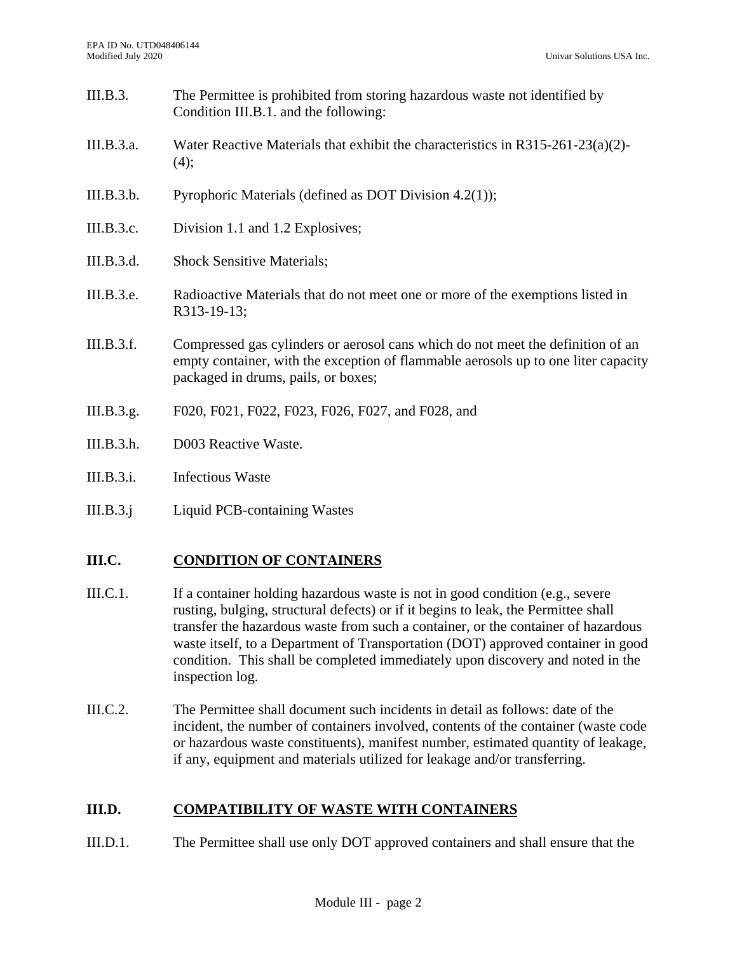- III.B.3. The Permittee is prohibited from storing hazardous waste not identified by Condition III.B.1. and the following: III.B.3.a. Water Reactive Materials that exhibit the characteristics in R315-261-23(a)(2)-  $(4)$ : III.B.3.b. Pyrophoric Materials (defined as DOT Division 4.2(1)); III.B.3.c. Division 1.1 and 1.2 Explosives; III.B.3.d. Shock Sensitive Materials; III.B.3.e. Radioactive Materials that do not meet one or more of the exemptions listed in R313-19-13; III.B.3.f. Compressed gas cylinders or aerosol cans which do not meet the definition of an empty container, with the exception of flammable aerosols up to one liter capacity packaged in drums, pails, or boxes;
- III.B.3.g. F020, F021, F022, F023, F026, F027, and F028, and
- III.B.3.h. D003 Reactive Waste.
- III.B.3.i. Infectious Waste
- III.B.3.j Liquid PCB-containing Wastes

# **III.C. CONDITION OF CONTAINERS**

- III.C.1. If a container holding hazardous waste is not in good condition (e.g., severe rusting, bulging, structural defects) or if it begins to leak, the Permittee shall transfer the hazardous waste from such a container, or the container of hazardous waste itself, to a Department of Transportation (DOT) approved container in good condition. This shall be completed immediately upon discovery and noted in the inspection log.
- III.C.2. The Permittee shall document such incidents in detail as follows: date of the incident, the number of containers involved, contents of the container (waste code or hazardous waste constituents), manifest number, estimated quantity of leakage, if any, equipment and materials utilized for leakage and/or transferring.

# **III.D. COMPATIBILITY OF WASTE WITH CONTAINERS**

III.D.1. The Permittee shall use only DOT approved containers and shall ensure that the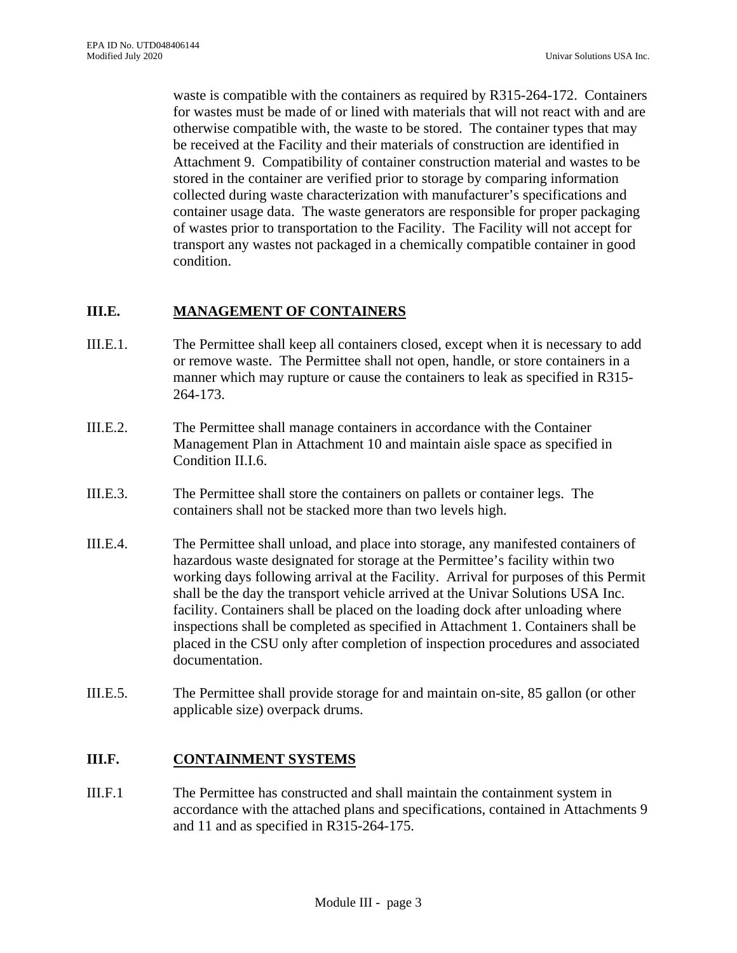waste is compatible with the containers as required by R315-264-172. Containers for wastes must be made of or lined with materials that will not react with and are otherwise compatible with, the waste to be stored. The container types that may be received at the Facility and their materials of construction are identified in Attachment 9. Compatibility of container construction material and wastes to be stored in the container are verified prior to storage by comparing information collected during waste characterization with manufacturer's specifications and container usage data. The waste generators are responsible for proper packaging of wastes prior to transportation to the Facility. The Facility will not accept for transport any wastes not packaged in a chemically compatible container in good condition.

## **III.E. MANAGEMENT OF CONTAINERS**

- III.E.1. The Permittee shall keep all containers closed, except when it is necessary to add or remove waste. The Permittee shall not open, handle, or store containers in a manner which may rupture or cause the containers to leak as specified in R315- 264-173.
- III.E.2. The Permittee shall manage containers in accordance with the Container Management Plan in Attachment 10 and maintain aisle space as specified in Condition II.I.6.
- III.E.3. The Permittee shall store the containers on pallets or container legs. The containers shall not be stacked more than two levels high.
- III.E.4. The Permittee shall unload, and place into storage, any manifested containers of hazardous waste designated for storage at the Permittee's facility within two working days following arrival at the Facility. Arrival for purposes of this Permit shall be the day the transport vehicle arrived at the Univar Solutions USA Inc. facility. Containers shall be placed on the loading dock after unloading where inspections shall be completed as specified in Attachment 1. Containers shall be placed in the CSU only after completion of inspection procedures and associated documentation.
- III.E.5. The Permittee shall provide storage for and maintain on-site, 85 gallon (or other applicable size) overpack drums.

#### **III.F. CONTAINMENT SYSTEMS**

III.F.1 The Permittee has constructed and shall maintain the containment system in accordance with the attached plans and specifications, contained in Attachments 9 and 11 and as specified in R315-264-175.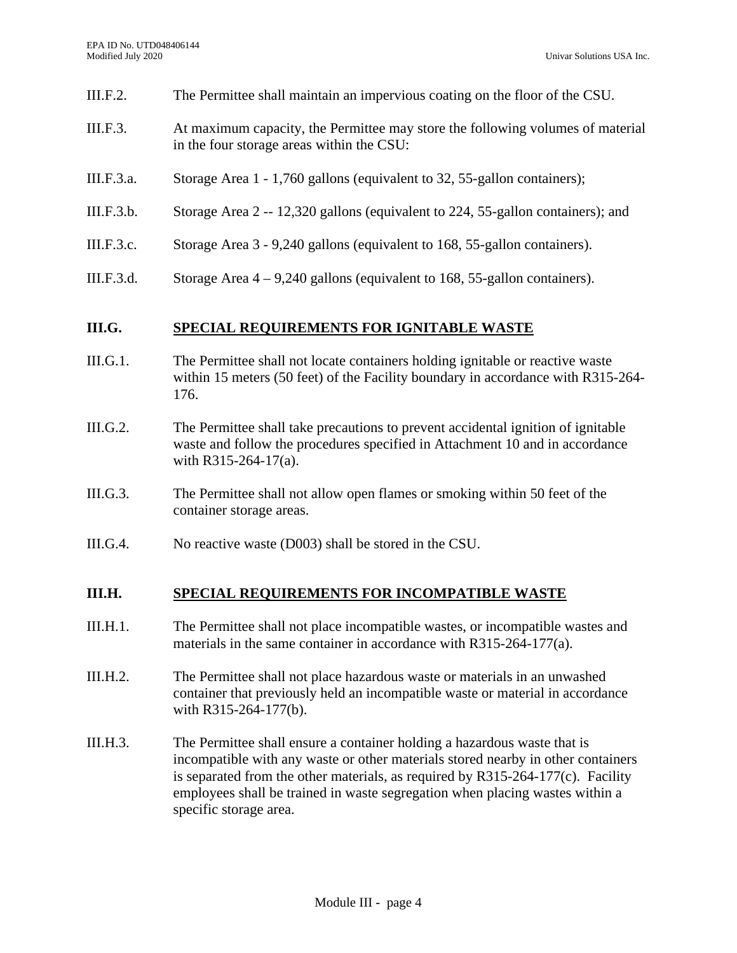- III.F.2. The Permittee shall maintain an impervious coating on the floor of the CSU.
- III.F.3. At maximum capacity, the Permittee may store the following volumes of material in the four storage areas within the CSU:
- III.F.3.a. Storage Area 1 1,760 gallons (equivalent to 32, 55-gallon containers);
- III.F.3.b. Storage Area 2 -- 12,320 gallons (equivalent to 224, 55-gallon containers); and
- III.F.3.c. Storage Area 3 9,240 gallons (equivalent to 168, 55-gallon containers).
- III.F.3.d. Storage Area  $4 9,240$  gallons (equivalent to 168, 55-gallon containers).

#### **III.G. SPECIAL REQUIREMENTS FOR IGNITABLE WASTE**

- III.G.1. The Permittee shall not locate containers holding ignitable or reactive waste within 15 meters (50 feet) of the Facility boundary in accordance with R315-264- 176.
- III.G.2. The Permittee shall take precautions to prevent accidental ignition of ignitable waste and follow the procedures specified in Attachment 10 and in accordance with R315-264-17(a).
- III.G.3. The Permittee shall not allow open flames or smoking within 50 feet of the container storage areas.
- III.G.4. No reactive waste (D003) shall be stored in the CSU.

#### **III.H. SPECIAL REQUIREMENTS FOR INCOMPATIBLE WASTE**

- III.H.1. The Permittee shall not place incompatible wastes, or incompatible wastes and materials in the same container in accordance with R315-264-177(a).
- III.H.2. The Permittee shall not place hazardous waste or materials in an unwashed container that previously held an incompatible waste or material in accordance with R315-264-177(b).
- III.H.3. The Permittee shall ensure a container holding a hazardous waste that is incompatible with any waste or other materials stored nearby in other containers is separated from the other materials, as required by  $R315-264-177(c)$ . Facility employees shall be trained in waste segregation when placing wastes within a specific storage area.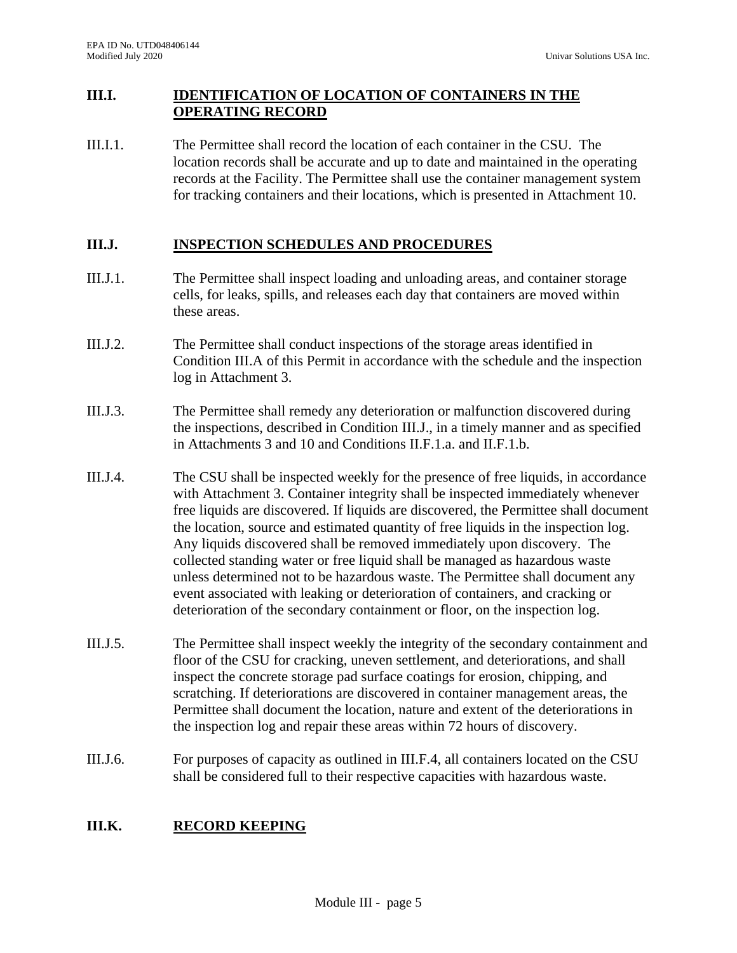# **III.I. IDENTIFICATION OF LOCATION OF CONTAINERS IN THE OPERATING RECORD**

III.I.1. The Permittee shall record the location of each container in the CSU. The location records shall be accurate and up to date and maintained in the operating records at the Facility. The Permittee shall use the container management system for tracking containers and their locations, which is presented in Attachment 10.

# **III.J. INSPECTION SCHEDULES AND PROCEDURES**

- III.J.1. The Permittee shall inspect loading and unloading areas, and container storage cells, for leaks, spills, and releases each day that containers are moved within these areas.
- III.J.2. The Permittee shall conduct inspections of the storage areas identified in Condition III.A of this Permit in accordance with the schedule and the inspection log in Attachment 3.
- III.J.3. The Permittee shall remedy any deterioration or malfunction discovered during the inspections, described in Condition III.J., in a timely manner and as specified in Attachments 3 and 10 and Conditions II.F.1.a. and II.F.1.b.
- III.J.4. The CSU shall be inspected weekly for the presence of free liquids, in accordance with Attachment 3. Container integrity shall be inspected immediately whenever free liquids are discovered. If liquids are discovered, the Permittee shall document the location, source and estimated quantity of free liquids in the inspection log. Any liquids discovered shall be removed immediately upon discovery. The collected standing water or free liquid shall be managed as hazardous waste unless determined not to be hazardous waste. The Permittee shall document any event associated with leaking or deterioration of containers, and cracking or deterioration of the secondary containment or floor, on the inspection log.
- III.J.5. The Permittee shall inspect weekly the integrity of the secondary containment and floor of the CSU for cracking, uneven settlement, and deteriorations, and shall inspect the concrete storage pad surface coatings for erosion, chipping, and scratching. If deteriorations are discovered in container management areas, the Permittee shall document the location, nature and extent of the deteriorations in the inspection log and repair these areas within 72 hours of discovery.
- III.J.6. For purposes of capacity as outlined in III.F.4, all containers located on the CSU shall be considered full to their respective capacities with hazardous waste.

# **III.K. RECORD KEEPING**